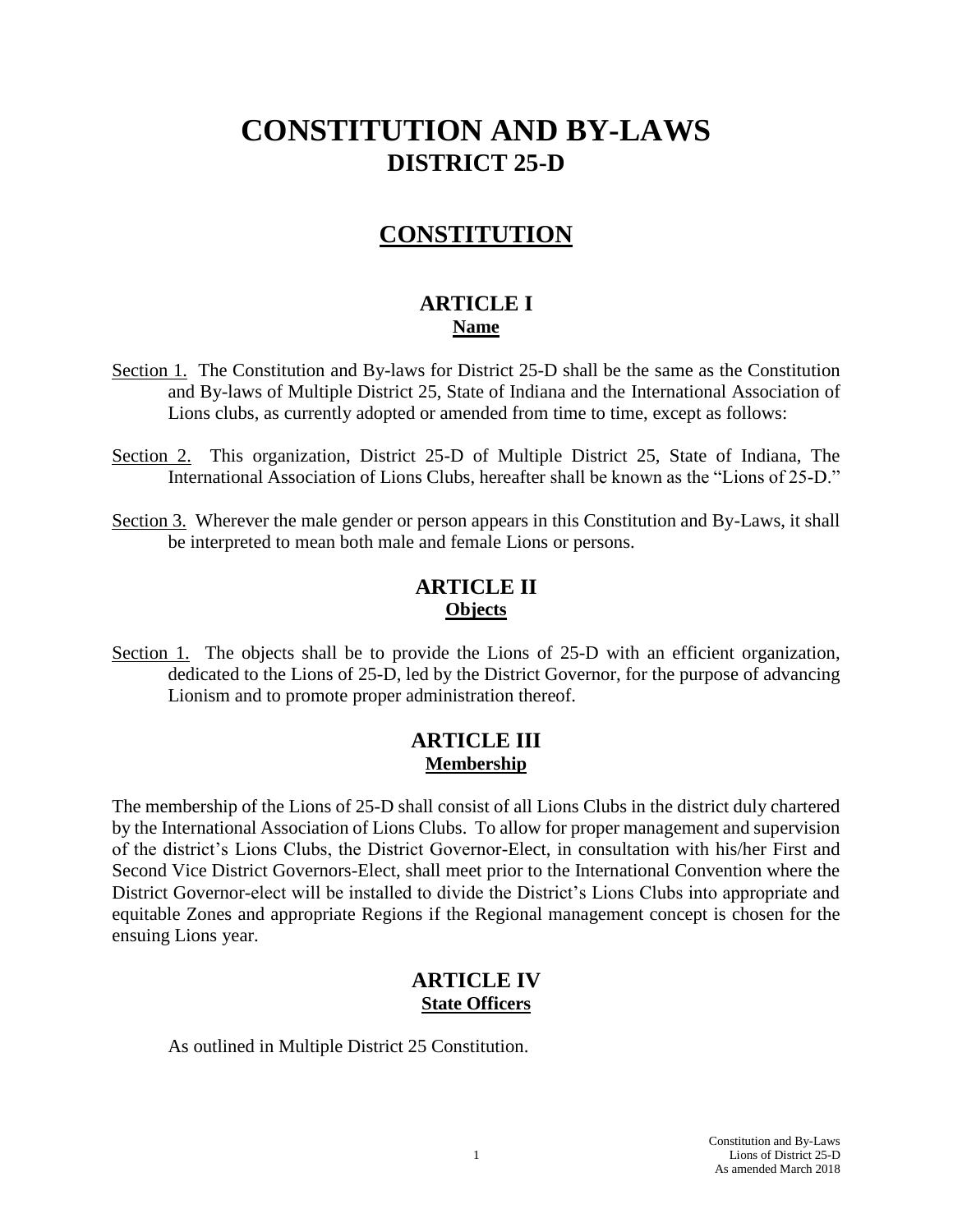# **CONSTITUTION AND BY-LAWS DISTRICT 25-D**

## **CONSTITUTION**

### **ARTICLE I Name**

- Section 1. The Constitution and By-laws for District 25-D shall be the same as the Constitution and By-laws of Multiple District 25, State of Indiana and the International Association of Lions clubs, as currently adopted or amended from time to time, except as follows:
- Section 2. This organization, District 25-D of Multiple District 25, State of Indiana, The International Association of Lions Clubs, hereafter shall be known as the "Lions of 25-D."
- Section 3. Wherever the male gender or person appears in this Constitution and By-Laws, it shall be interpreted to mean both male and female Lions or persons.

### **ARTICLE II Objects**

Section 1. The objects shall be to provide the Lions of 25-D with an efficient organization, dedicated to the Lions of 25-D, led by the District Governor, for the purpose of advancing Lionism and to promote proper administration thereof.

### **ARTICLE III Membership**

The membership of the Lions of 25-D shall consist of all Lions Clubs in the district duly chartered by the International Association of Lions Clubs. To allow for proper management and supervision of the district's Lions Clubs, the District Governor-Elect, in consultation with his/her First and Second Vice District Governors-Elect, shall meet prior to the International Convention where the District Governor-elect will be installed to divide the District's Lions Clubs into appropriate and equitable Zones and appropriate Regions if the Regional management concept is chosen for the ensuing Lions year.

### **ARTICLE IV State Officers**

As outlined in Multiple District 25 Constitution.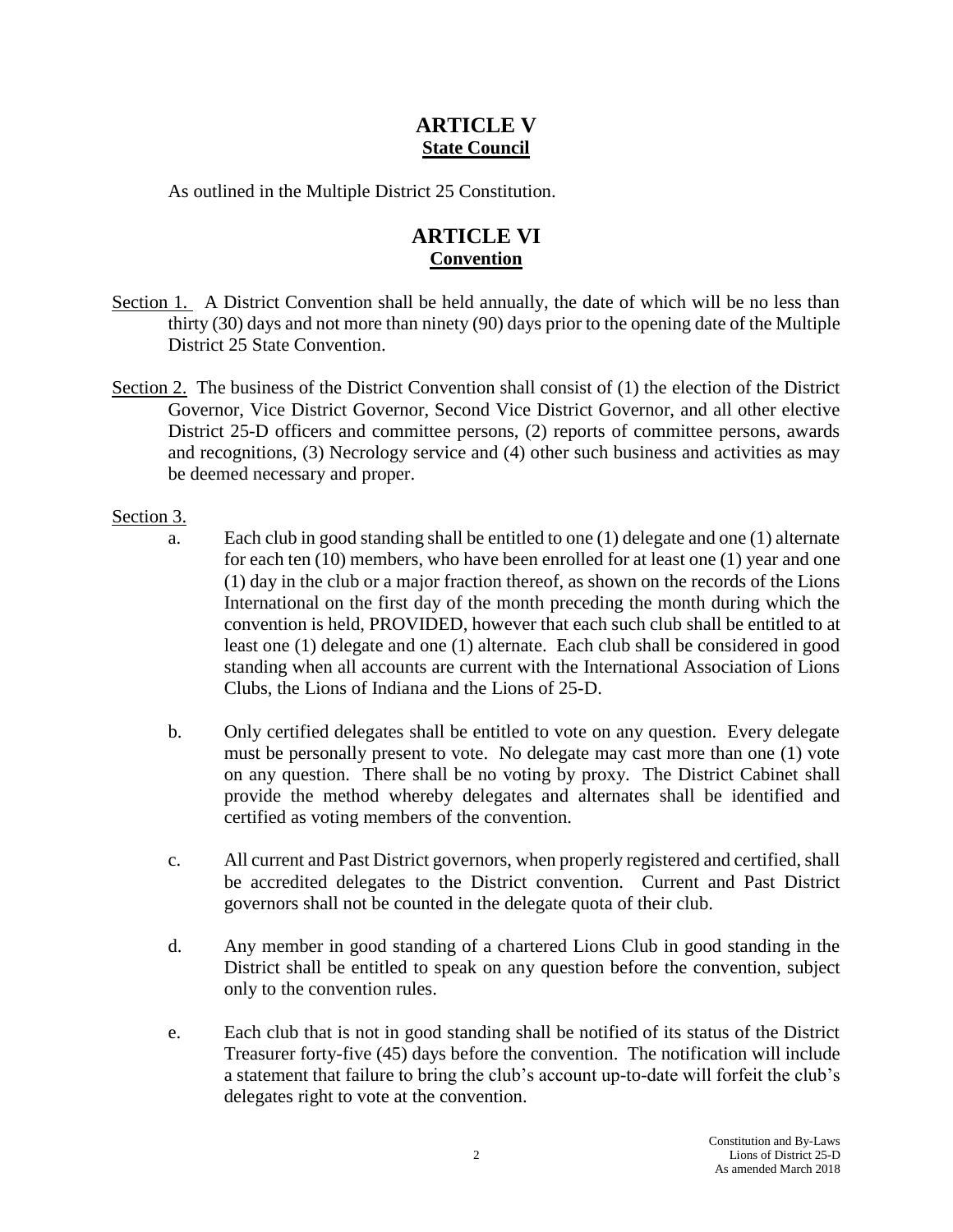### **ARTICLE V State Council**

As outlined in the Multiple District 25 Constitution.

### **ARTICLE VI Convention**

- Section 1. A District Convention shall be held annually, the date of which will be no less than thirty (30) days and not more than ninety (90) days prior to the opening date of the Multiple District 25 State Convention.
- Section 2. The business of the District Convention shall consist of (1) the election of the District Governor, Vice District Governor, Second Vice District Governor, and all other elective District 25-D officers and committee persons, (2) reports of committee persons, awards and recognitions, (3) Necrology service and (4) other such business and activities as may be deemed necessary and proper.

#### Section 3.

- a. Each club in good standing shall be entitled to one (1) delegate and one (1) alternate for each ten (10) members, who have been enrolled for at least one (1) year and one (1) day in the club or a major fraction thereof, as shown on the records of the Lions International on the first day of the month preceding the month during which the convention is held, PROVIDED, however that each such club shall be entitled to at least one (1) delegate and one (1) alternate. Each club shall be considered in good standing when all accounts are current with the International Association of Lions Clubs, the Lions of Indiana and the Lions of 25-D.
- b. Only certified delegates shall be entitled to vote on any question. Every delegate must be personally present to vote. No delegate may cast more than one (1) vote on any question. There shall be no voting by proxy. The District Cabinet shall provide the method whereby delegates and alternates shall be identified and certified as voting members of the convention.
- c. All current and Past District governors, when properly registered and certified, shall be accredited delegates to the District convention. Current and Past District governors shall not be counted in the delegate quota of their club.
- d. Any member in good standing of a chartered Lions Club in good standing in the District shall be entitled to speak on any question before the convention, subject only to the convention rules.
- e. Each club that is not in good standing shall be notified of its status of the District Treasurer forty-five (45) days before the convention. The notification will include a statement that failure to bring the club's account up-to-date will forfeit the club's delegates right to vote at the convention.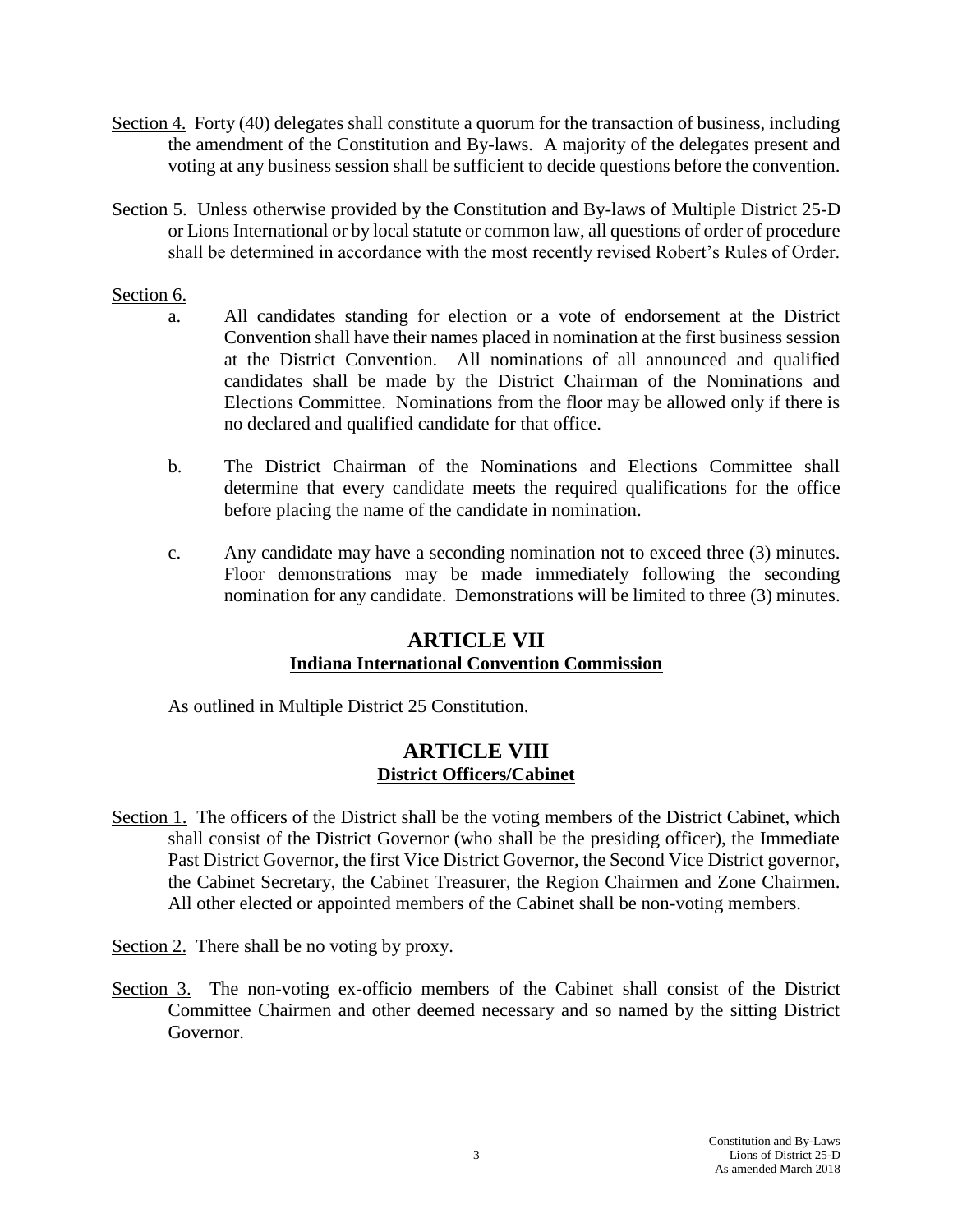- Section 4. Forty (40) delegates shall constitute a quorum for the transaction of business, including the amendment of the Constitution and By-laws. A majority of the delegates present and voting at any business session shall be sufficient to decide questions before the convention.
- Section 5. Unless otherwise provided by the Constitution and By-laws of Multiple District 25-D or Lions International or by local statute or common law, all questions of order of procedure shall be determined in accordance with the most recently revised Robert's Rules of Order.

#### Section 6.

- a. All candidates standing for election or a vote of endorsement at the District Convention shall have their names placed in nomination at the first business session at the District Convention. All nominations of all announced and qualified candidates shall be made by the District Chairman of the Nominations and Elections Committee. Nominations from the floor may be allowed only if there is no declared and qualified candidate for that office.
- b. The District Chairman of the Nominations and Elections Committee shall determine that every candidate meets the required qualifications for the office before placing the name of the candidate in nomination.
- c. Any candidate may have a seconding nomination not to exceed three (3) minutes. Floor demonstrations may be made immediately following the seconding nomination for any candidate. Demonstrations will be limited to three (3) minutes.

#### **ARTICLE VII Indiana International Convention Commission**

As outlined in Multiple District 25 Constitution.

### **ARTICLE VIII District Officers/Cabinet**

- Section 1. The officers of the District shall be the voting members of the District Cabinet, which shall consist of the District Governor (who shall be the presiding officer), the Immediate Past District Governor, the first Vice District Governor, the Second Vice District governor, the Cabinet Secretary, the Cabinet Treasurer, the Region Chairmen and Zone Chairmen. All other elected or appointed members of the Cabinet shall be non-voting members.
- Section 2. There shall be no voting by proxy.
- Section 3. The non-voting ex-officio members of the Cabinet shall consist of the District Committee Chairmen and other deemed necessary and so named by the sitting District Governor.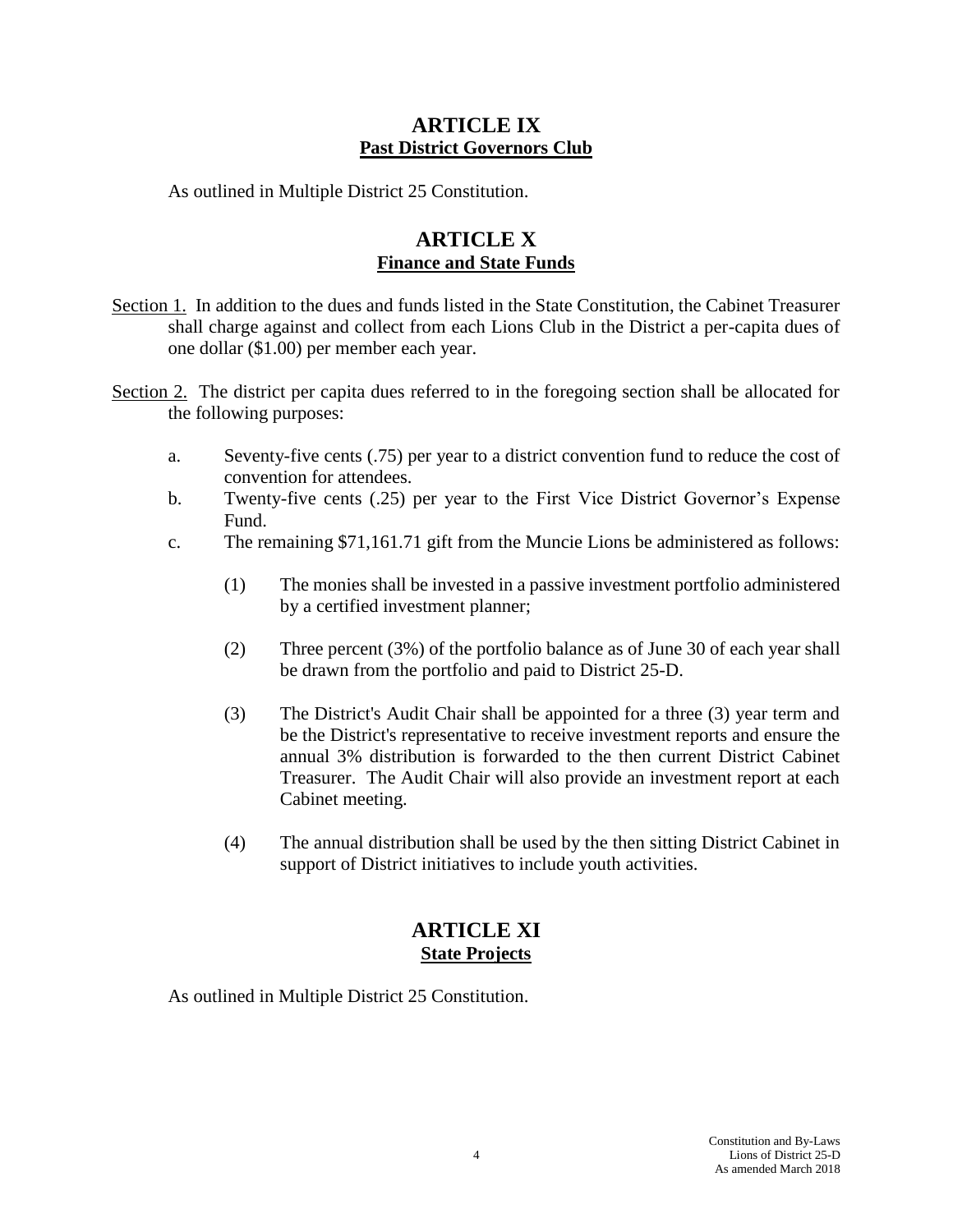### **ARTICLE IX Past District Governors Club**

As outlined in Multiple District 25 Constitution.

### **ARTICLE X Finance and State Funds**

- Section 1. In addition to the dues and funds listed in the State Constitution, the Cabinet Treasurer shall charge against and collect from each Lions Club in the District a per-capita dues of one dollar (\$1.00) per member each year.
- Section 2. The district per capita dues referred to in the foregoing section shall be allocated for the following purposes:
	- a. Seventy-five cents (.75) per year to a district convention fund to reduce the cost of convention for attendees.
	- b. Twenty-five cents (.25) per year to the First Vice District Governor's Expense Fund.
	- c. The remaining \$71,161.71 gift from the Muncie Lions be administered as follows:
		- (1) The monies shall be invested in a passive investment portfolio administered by a certified investment planner;
		- (2) Three percent (3%) of the portfolio balance as of June 30 of each year shall be drawn from the portfolio and paid to District 25-D.
		- (3) The District's Audit Chair shall be appointed for a three (3) year term and be the District's representative to receive investment reports and ensure the annual 3% distribution is forwarded to the then current District Cabinet Treasurer. The Audit Chair will also provide an investment report at each Cabinet meeting.
		- (4) The annual distribution shall be used by the then sitting District Cabinet in support of District initiatives to include youth activities.

### **ARTICLE XI State Projects**

As outlined in Multiple District 25 Constitution.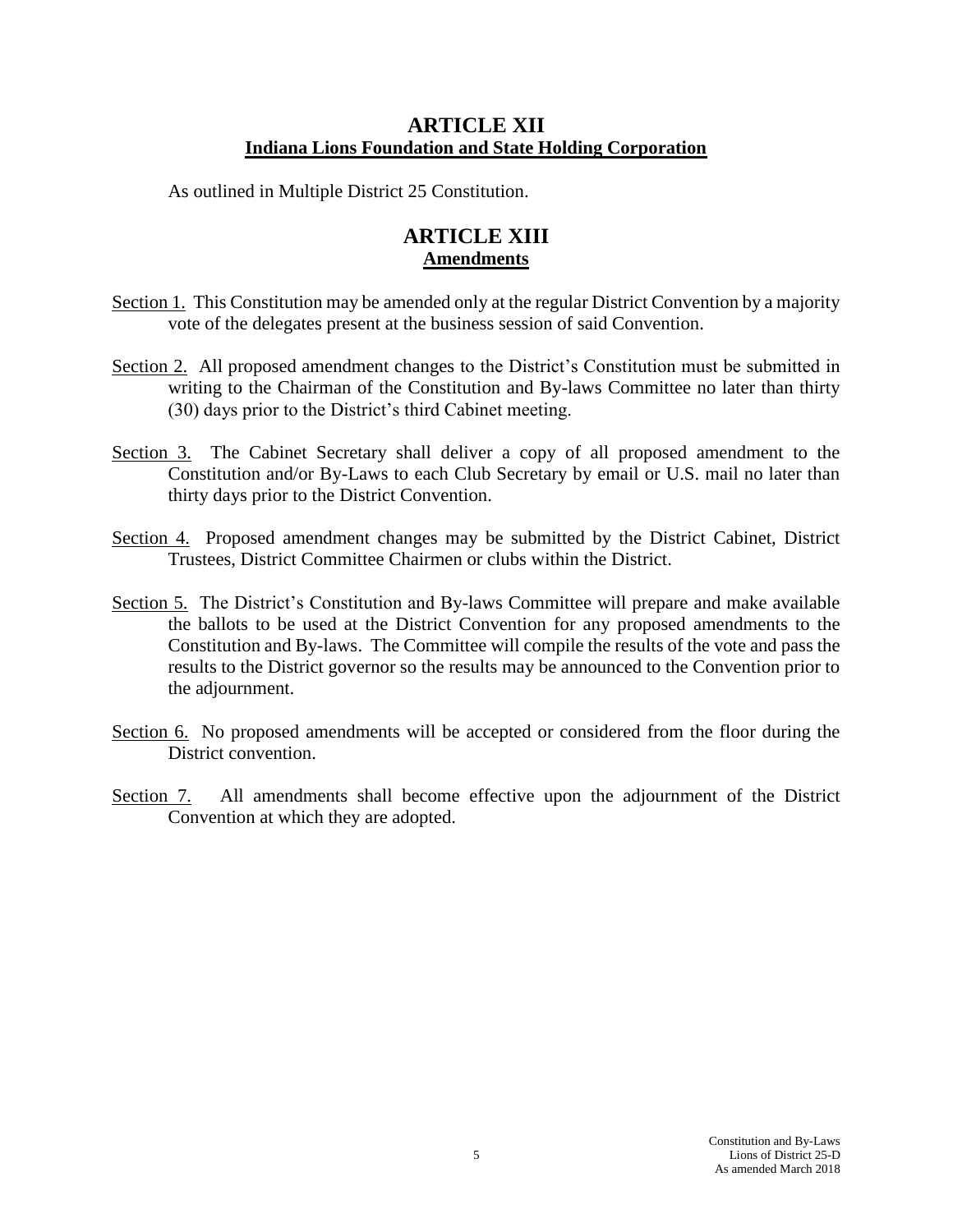### **ARTICLE XII Indiana Lions Foundation and State Holding Corporation**

As outlined in Multiple District 25 Constitution.

### **ARTICLE XIII Amendments**

- Section 1. This Constitution may be amended only at the regular District Convention by a majority vote of the delegates present at the business session of said Convention.
- Section 2. All proposed amendment changes to the District's Constitution must be submitted in writing to the Chairman of the Constitution and By-laws Committee no later than thirty (30) days prior to the District's third Cabinet meeting.
- Section 3. The Cabinet Secretary shall deliver a copy of all proposed amendment to the Constitution and/or By-Laws to each Club Secretary by email or U.S. mail no later than thirty days prior to the District Convention.
- Section 4. Proposed amendment changes may be submitted by the District Cabinet, District Trustees, District Committee Chairmen or clubs within the District.
- Section 5. The District's Constitution and By-laws Committee will prepare and make available the ballots to be used at the District Convention for any proposed amendments to the Constitution and By-laws. The Committee will compile the results of the vote and pass the results to the District governor so the results may be announced to the Convention prior to the adjournment.
- Section 6. No proposed amendments will be accepted or considered from the floor during the District convention.
- Section 7. All amendments shall become effective upon the adjournment of the District Convention at which they are adopted.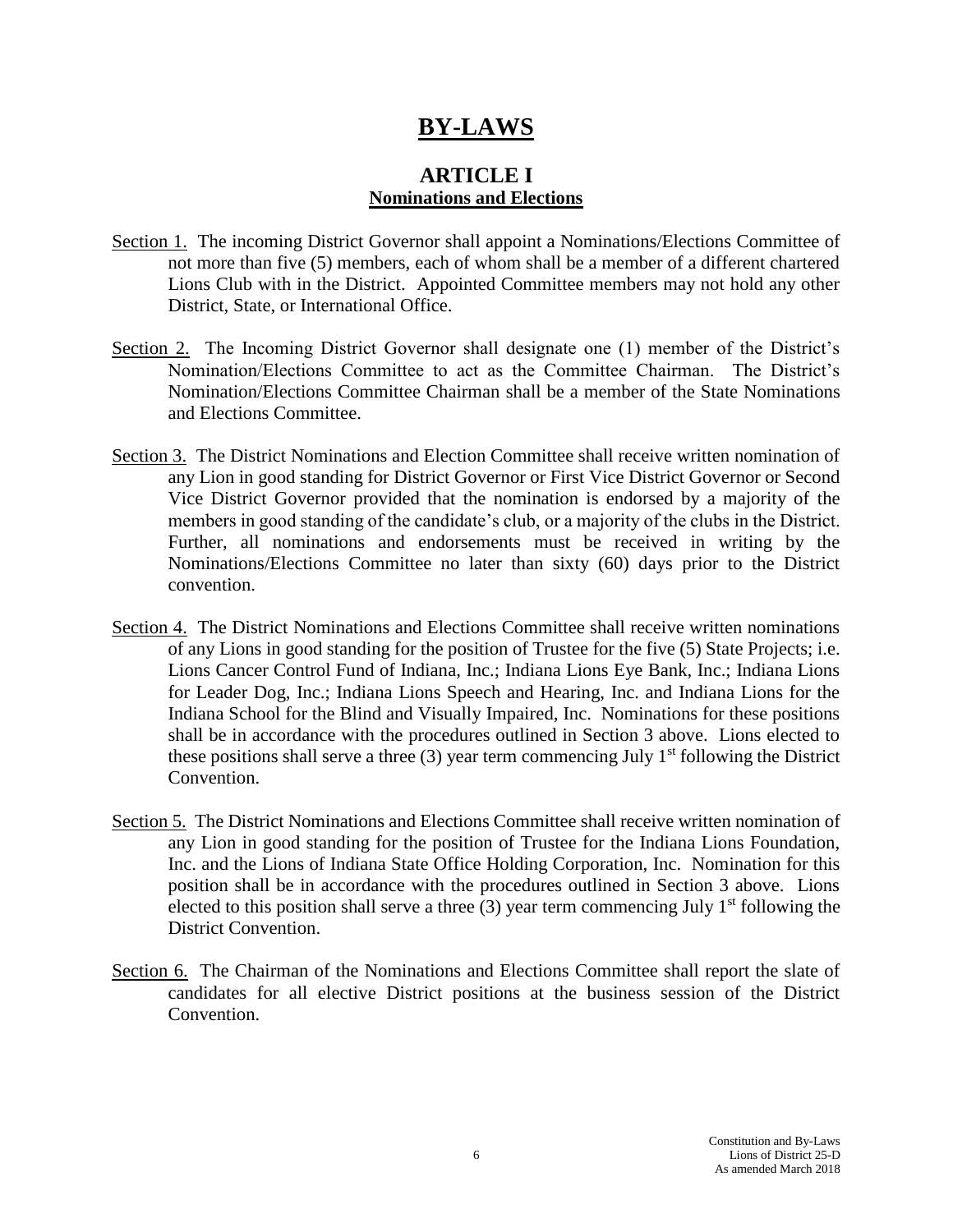# **BY-LAWS**

### **ARTICLE I Nominations and Elections**

- Section 1. The incoming District Governor shall appoint a Nominations/Elections Committee of not more than five (5) members, each of whom shall be a member of a different chartered Lions Club with in the District. Appointed Committee members may not hold any other District, State, or International Office.
- Section 2. The Incoming District Governor shall designate one (1) member of the District's Nomination/Elections Committee to act as the Committee Chairman. The District's Nomination/Elections Committee Chairman shall be a member of the State Nominations and Elections Committee.
- Section 3. The District Nominations and Election Committee shall receive written nomination of any Lion in good standing for District Governor or First Vice District Governor or Second Vice District Governor provided that the nomination is endorsed by a majority of the members in good standing of the candidate's club, or a majority of the clubs in the District. Further, all nominations and endorsements must be received in writing by the Nominations/Elections Committee no later than sixty (60) days prior to the District convention.
- Section 4. The District Nominations and Elections Committee shall receive written nominations of any Lions in good standing for the position of Trustee for the five (5) State Projects; i.e. Lions Cancer Control Fund of Indiana, Inc.; Indiana Lions Eye Bank, Inc.; Indiana Lions for Leader Dog, Inc.; Indiana Lions Speech and Hearing, Inc. and Indiana Lions for the Indiana School for the Blind and Visually Impaired, Inc. Nominations for these positions shall be in accordance with the procedures outlined in Section 3 above. Lions elected to these positions shall serve a three  $(3)$  year term commencing July 1<sup>st</sup> following the District Convention.
- Section 5. The District Nominations and Elections Committee shall receive written nomination of any Lion in good standing for the position of Trustee for the Indiana Lions Foundation, Inc. and the Lions of Indiana State Office Holding Corporation, Inc. Nomination for this position shall be in accordance with the procedures outlined in Section 3 above. Lions elected to this position shall serve a three  $(3)$  year term commencing July 1<sup>st</sup> following the District Convention.
- Section 6. The Chairman of the Nominations and Elections Committee shall report the slate of candidates for all elective District positions at the business session of the District Convention.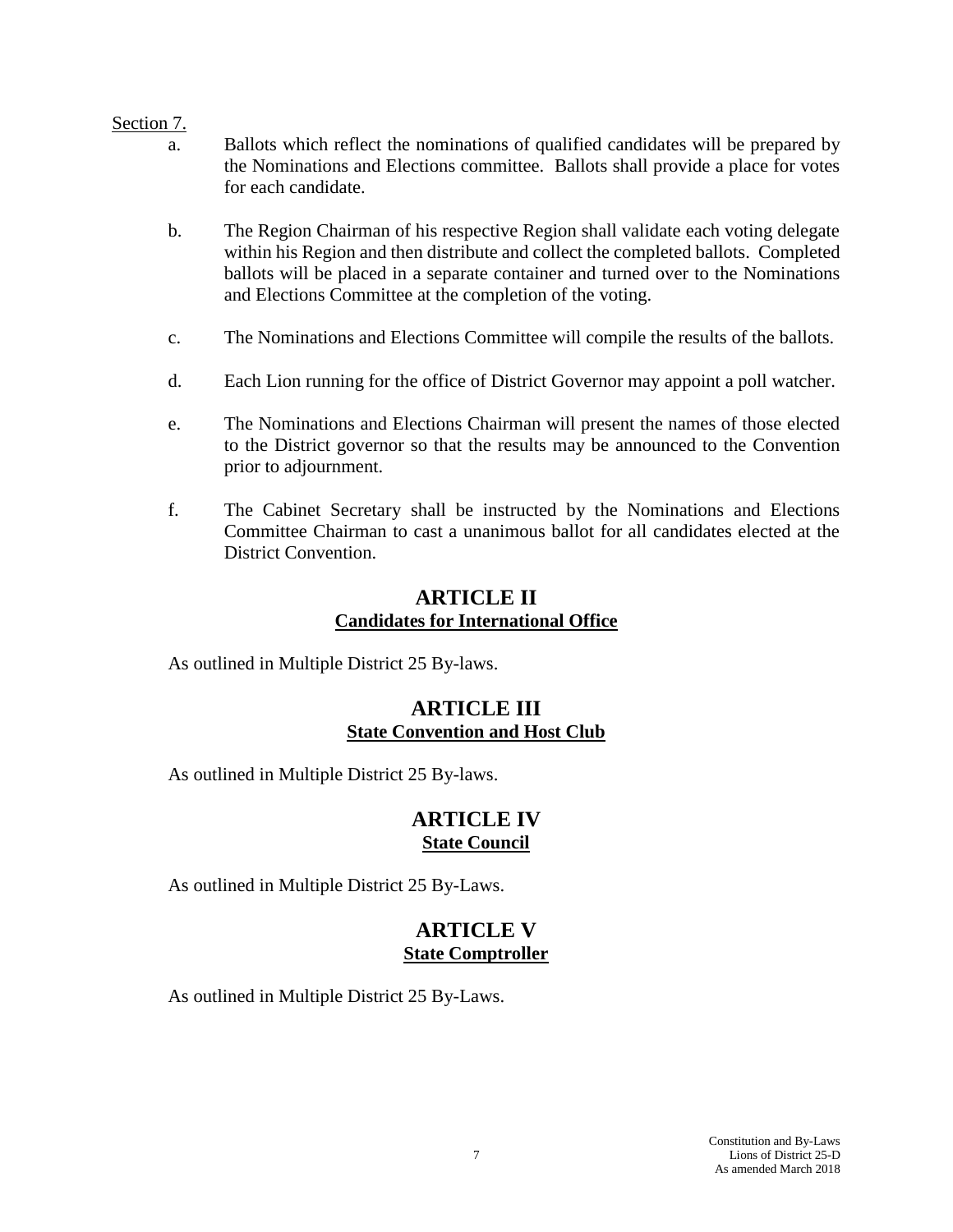#### Section 7.

- a. Ballots which reflect the nominations of qualified candidates will be prepared by the Nominations and Elections committee. Ballots shall provide a place for votes for each candidate.
- b. The Region Chairman of his respective Region shall validate each voting delegate within his Region and then distribute and collect the completed ballots. Completed ballots will be placed in a separate container and turned over to the Nominations and Elections Committee at the completion of the voting.
- c. The Nominations and Elections Committee will compile the results of the ballots.
- d. Each Lion running for the office of District Governor may appoint a poll watcher.
- e. The Nominations and Elections Chairman will present the names of those elected to the District governor so that the results may be announced to the Convention prior to adjournment.
- f. The Cabinet Secretary shall be instructed by the Nominations and Elections Committee Chairman to cast a unanimous ballot for all candidates elected at the District Convention.

### **ARTICLE II Candidates for International Office**

As outlined in Multiple District 25 By-laws.

### **ARTICLE III State Convention and Host Club**

As outlined in Multiple District 25 By-laws.

### **ARTICLE IV State Council**

As outlined in Multiple District 25 By-Laws.

### **ARTICLE V State Comptroller**

As outlined in Multiple District 25 By-Laws.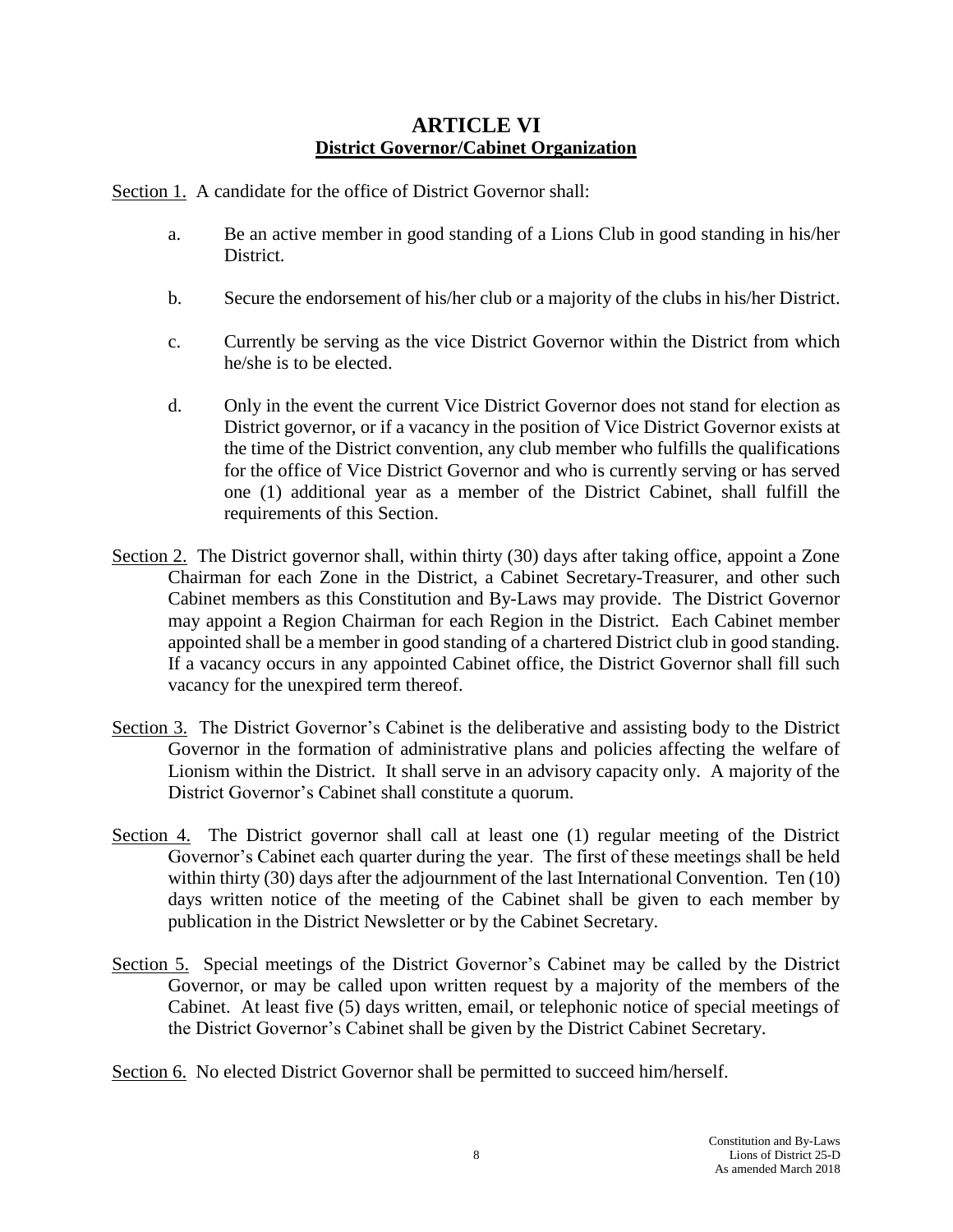### **ARTICLE VI District Governor/Cabinet Organization**

Section 1. A candidate for the office of District Governor shall:

- a. Be an active member in good standing of a Lions Club in good standing in his/her District.
- b. Secure the endorsement of his/her club or a majority of the clubs in his/her District.
- c. Currently be serving as the vice District Governor within the District from which he/she is to be elected.
- d. Only in the event the current Vice District Governor does not stand for election as District governor, or if a vacancy in the position of Vice District Governor exists at the time of the District convention, any club member who fulfills the qualifications for the office of Vice District Governor and who is currently serving or has served one (1) additional year as a member of the District Cabinet, shall fulfill the requirements of this Section.
- Section 2. The District governor shall, within thirty (30) days after taking office, appoint a Zone Chairman for each Zone in the District, a Cabinet Secretary-Treasurer, and other such Cabinet members as this Constitution and By-Laws may provide. The District Governor may appoint a Region Chairman for each Region in the District. Each Cabinet member appointed shall be a member in good standing of a chartered District club in good standing. If a vacancy occurs in any appointed Cabinet office, the District Governor shall fill such vacancy for the unexpired term thereof.
- Section 3. The District Governor's Cabinet is the deliberative and assisting body to the District Governor in the formation of administrative plans and policies affecting the welfare of Lionism within the District. It shall serve in an advisory capacity only. A majority of the District Governor's Cabinet shall constitute a quorum.
- Section 4. The District governor shall call at least one (1) regular meeting of the District Governor's Cabinet each quarter during the year. The first of these meetings shall be held within thirty (30) days after the adjournment of the last International Convention. Ten (10) days written notice of the meeting of the Cabinet shall be given to each member by publication in the District Newsletter or by the Cabinet Secretary.
- Section 5. Special meetings of the District Governor's Cabinet may be called by the District Governor, or may be called upon written request by a majority of the members of the Cabinet. At least five (5) days written, email, or telephonic notice of special meetings of the District Governor's Cabinet shall be given by the District Cabinet Secretary.

Section 6. No elected District Governor shall be permitted to succeed him/herself.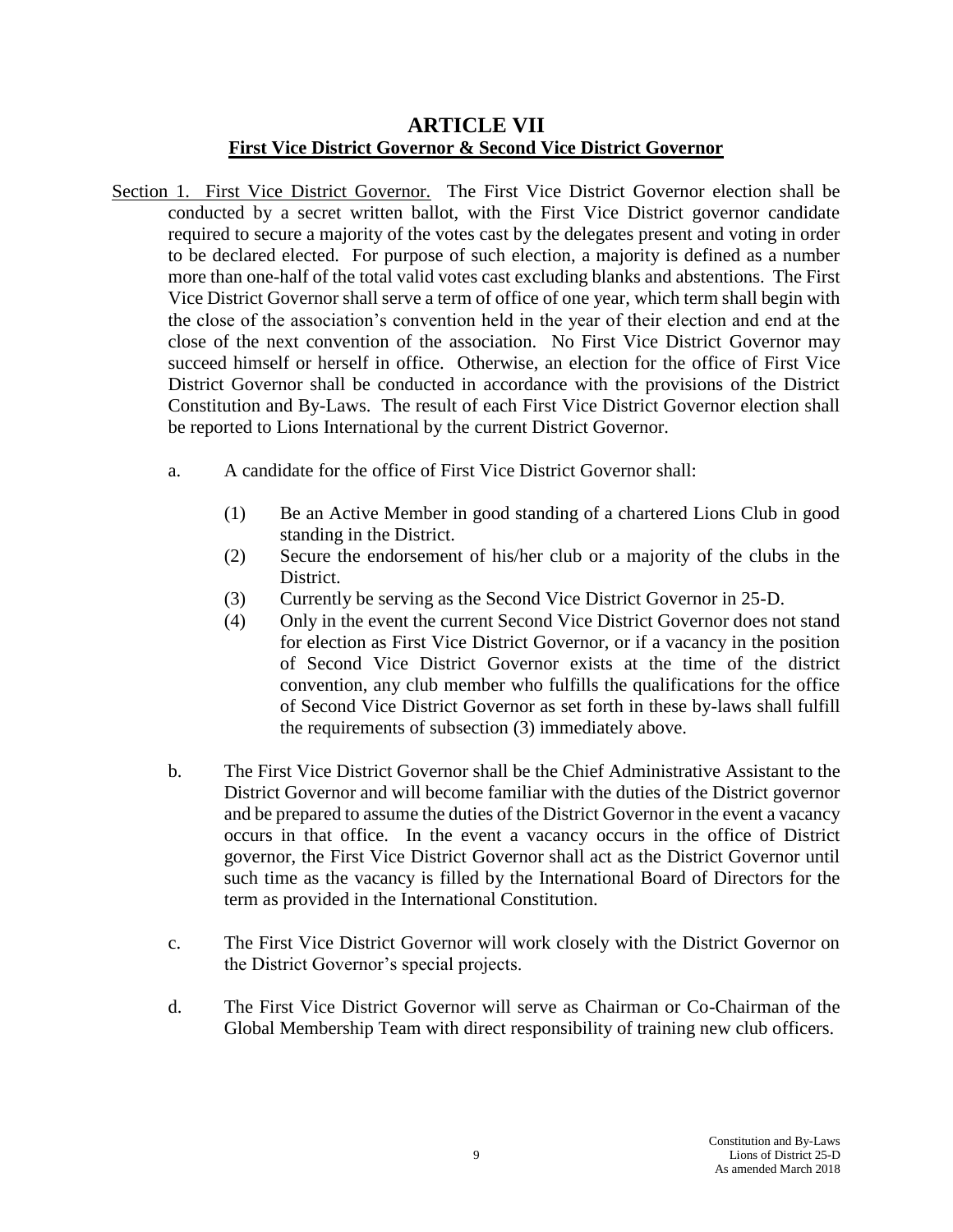### **ARTICLE VII First Vice District Governor & Second Vice District Governor**

- Section 1. First Vice District Governor. The First Vice District Governor election shall be conducted by a secret written ballot, with the First Vice District governor candidate required to secure a majority of the votes cast by the delegates present and voting in order to be declared elected. For purpose of such election, a majority is defined as a number more than one-half of the total valid votes cast excluding blanks and abstentions. The First Vice District Governor shall serve a term of office of one year, which term shall begin with the close of the association's convention held in the year of their election and end at the close of the next convention of the association. No First Vice District Governor may succeed himself or herself in office. Otherwise, an election for the office of First Vice District Governor shall be conducted in accordance with the provisions of the District Constitution and By-Laws. The result of each First Vice District Governor election shall be reported to Lions International by the current District Governor.
	- a. A candidate for the office of First Vice District Governor shall:
		- (1) Be an Active Member in good standing of a chartered Lions Club in good standing in the District.
		- (2) Secure the endorsement of his/her club or a majority of the clubs in the District.
		- (3) Currently be serving as the Second Vice District Governor in 25-D.
		- (4) Only in the event the current Second Vice District Governor does not stand for election as First Vice District Governor, or if a vacancy in the position of Second Vice District Governor exists at the time of the district convention, any club member who fulfills the qualifications for the office of Second Vice District Governor as set forth in these by-laws shall fulfill the requirements of subsection (3) immediately above.
	- b. The First Vice District Governor shall be the Chief Administrative Assistant to the District Governor and will become familiar with the duties of the District governor and be prepared to assume the duties of the District Governor in the event a vacancy occurs in that office. In the event a vacancy occurs in the office of District governor, the First Vice District Governor shall act as the District Governor until such time as the vacancy is filled by the International Board of Directors for the term as provided in the International Constitution.
	- c. The First Vice District Governor will work closely with the District Governor on the District Governor's special projects.
	- d. The First Vice District Governor will serve as Chairman or Co-Chairman of the Global Membership Team with direct responsibility of training new club officers.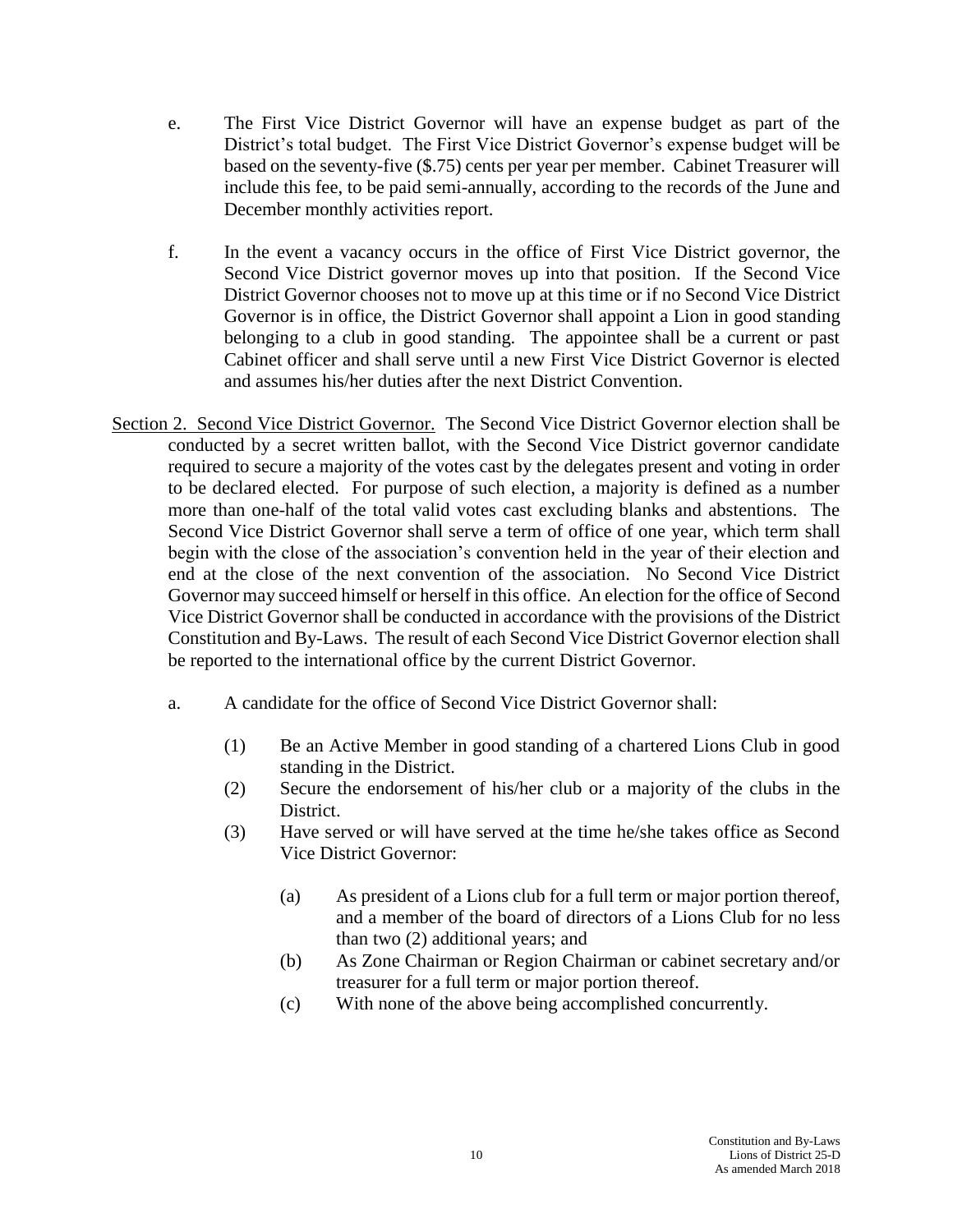- e. The First Vice District Governor will have an expense budget as part of the District's total budget. The First Vice District Governor's expense budget will be based on the seventy-five (\$.75) cents per year per member. Cabinet Treasurer will include this fee, to be paid semi-annually, according to the records of the June and December monthly activities report.
- f. In the event a vacancy occurs in the office of First Vice District governor, the Second Vice District governor moves up into that position. If the Second Vice District Governor chooses not to move up at this time or if no Second Vice District Governor is in office, the District Governor shall appoint a Lion in good standing belonging to a club in good standing. The appointee shall be a current or past Cabinet officer and shall serve until a new First Vice District Governor is elected and assumes his/her duties after the next District Convention.
- Section 2. Second Vice District Governor. The Second Vice District Governor election shall be conducted by a secret written ballot, with the Second Vice District governor candidate required to secure a majority of the votes cast by the delegates present and voting in order to be declared elected. For purpose of such election, a majority is defined as a number more than one-half of the total valid votes cast excluding blanks and abstentions. The Second Vice District Governor shall serve a term of office of one year, which term shall begin with the close of the association's convention held in the year of their election and end at the close of the next convention of the association. No Second Vice District Governor may succeed himself or herself in this office. An election for the office of Second Vice District Governor shall be conducted in accordance with the provisions of the District Constitution and By-Laws. The result of each Second Vice District Governor election shall be reported to the international office by the current District Governor.
	- a. A candidate for the office of Second Vice District Governor shall:
		- (1) Be an Active Member in good standing of a chartered Lions Club in good standing in the District.
		- (2) Secure the endorsement of his/her club or a majority of the clubs in the District.
		- (3) Have served or will have served at the time he/she takes office as Second Vice District Governor:
			- (a) As president of a Lions club for a full term or major portion thereof, and a member of the board of directors of a Lions Club for no less than two (2) additional years; and
			- (b) As Zone Chairman or Region Chairman or cabinet secretary and/or treasurer for a full term or major portion thereof.
			- (c) With none of the above being accomplished concurrently.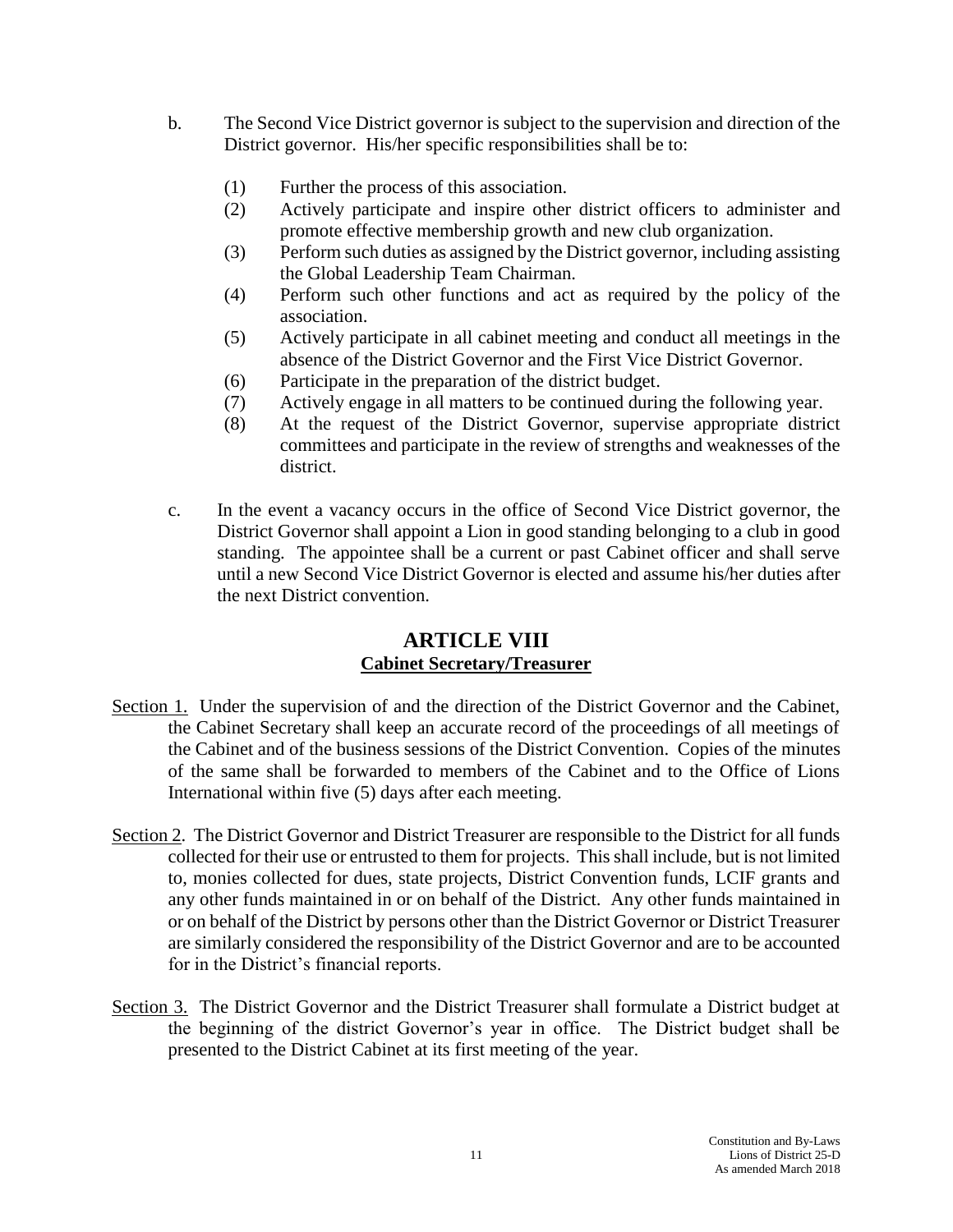- b. The Second Vice District governor is subject to the supervision and direction of the District governor. His/her specific responsibilities shall be to:
	- (1) Further the process of this association.
	- (2) Actively participate and inspire other district officers to administer and promote effective membership growth and new club organization.
	- (3) Perform such duties as assigned by the District governor, including assisting the Global Leadership Team Chairman.
	- (4) Perform such other functions and act as required by the policy of the association.
	- (5) Actively participate in all cabinet meeting and conduct all meetings in the absence of the District Governor and the First Vice District Governor.
	- (6) Participate in the preparation of the district budget.
	- (7) Actively engage in all matters to be continued during the following year.
	- (8) At the request of the District Governor, supervise appropriate district committees and participate in the review of strengths and weaknesses of the district.
- c. In the event a vacancy occurs in the office of Second Vice District governor, the District Governor shall appoint a Lion in good standing belonging to a club in good standing. The appointee shall be a current or past Cabinet officer and shall serve until a new Second Vice District Governor is elected and assume his/her duties after the next District convention.

#### **ARTICLE VIII Cabinet Secretary/Treasurer**

- Section 1. Under the supervision of and the direction of the District Governor and the Cabinet, the Cabinet Secretary shall keep an accurate record of the proceedings of all meetings of the Cabinet and of the business sessions of the District Convention. Copies of the minutes of the same shall be forwarded to members of the Cabinet and to the Office of Lions International within five (5) days after each meeting.
- Section 2. The District Governor and District Treasurer are responsible to the District for all funds collected for their use or entrusted to them for projects. This shall include, but is not limited to, monies collected for dues, state projects, District Convention funds, LCIF grants and any other funds maintained in or on behalf of the District. Any other funds maintained in or on behalf of the District by persons other than the District Governor or District Treasurer are similarly considered the responsibility of the District Governor and are to be accounted for in the District's financial reports.
- Section 3. The District Governor and the District Treasurer shall formulate a District budget at the beginning of the district Governor's year in office. The District budget shall be presented to the District Cabinet at its first meeting of the year.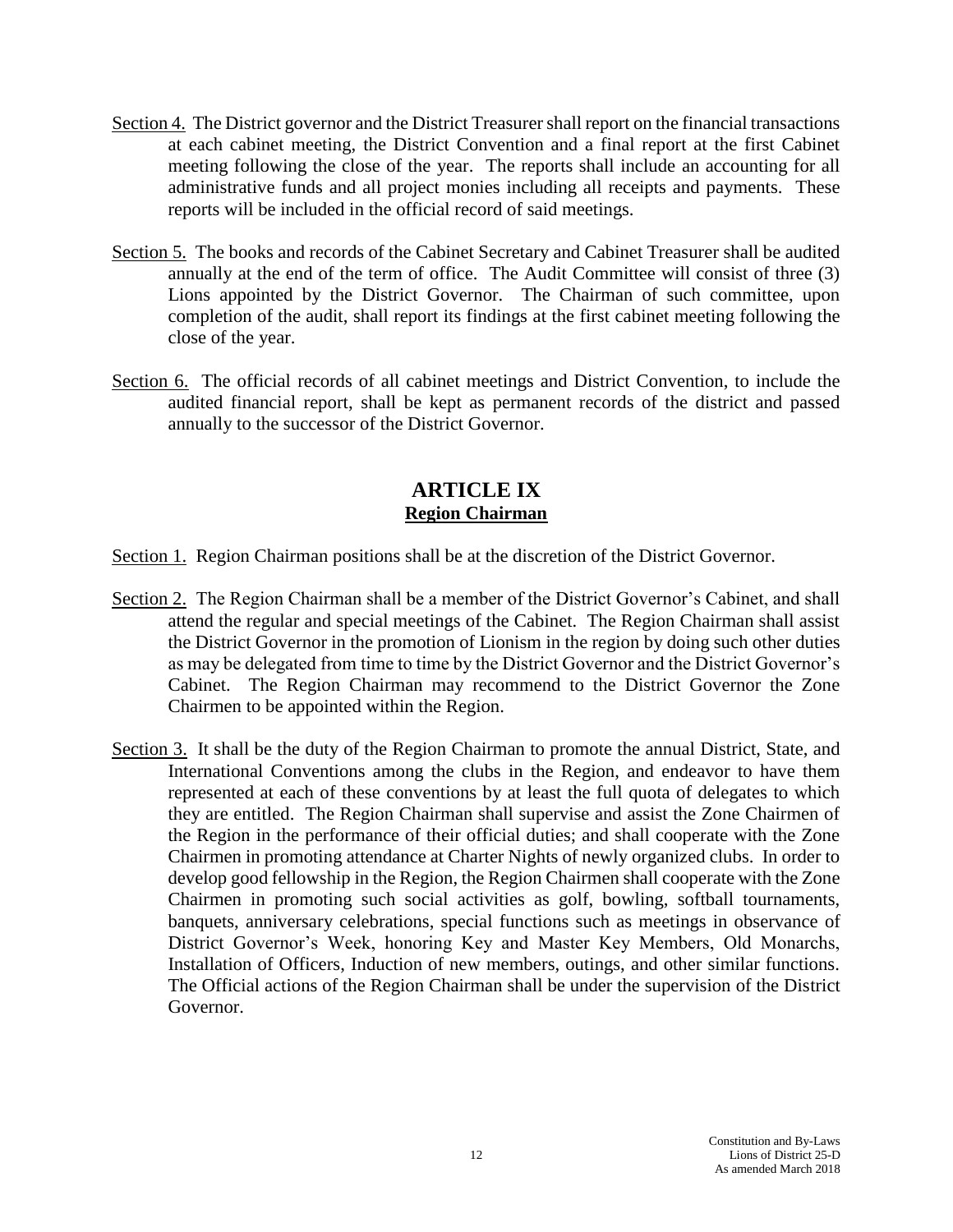- Section 4. The District governor and the District Treasurer shall report on the financial transactions at each cabinet meeting, the District Convention and a final report at the first Cabinet meeting following the close of the year. The reports shall include an accounting for all administrative funds and all project monies including all receipts and payments. These reports will be included in the official record of said meetings.
- Section 5. The books and records of the Cabinet Secretary and Cabinet Treasurer shall be audited annually at the end of the term of office. The Audit Committee will consist of three (3) Lions appointed by the District Governor. The Chairman of such committee, upon completion of the audit, shall report its findings at the first cabinet meeting following the close of the year.
- Section 6. The official records of all cabinet meetings and District Convention, to include the audited financial report, shall be kept as permanent records of the district and passed annually to the successor of the District Governor.

### **ARTICLE IX Region Chairman**

- Section 1. Region Chairman positions shall be at the discretion of the District Governor.
- Section 2. The Region Chairman shall be a member of the District Governor's Cabinet, and shall attend the regular and special meetings of the Cabinet. The Region Chairman shall assist the District Governor in the promotion of Lionism in the region by doing such other duties as may be delegated from time to time by the District Governor and the District Governor's Cabinet. The Region Chairman may recommend to the District Governor the Zone Chairmen to be appointed within the Region.
- Section 3. It shall be the duty of the Region Chairman to promote the annual District, State, and International Conventions among the clubs in the Region, and endeavor to have them represented at each of these conventions by at least the full quota of delegates to which they are entitled. The Region Chairman shall supervise and assist the Zone Chairmen of the Region in the performance of their official duties; and shall cooperate with the Zone Chairmen in promoting attendance at Charter Nights of newly organized clubs. In order to develop good fellowship in the Region, the Region Chairmen shall cooperate with the Zone Chairmen in promoting such social activities as golf, bowling, softball tournaments, banquets, anniversary celebrations, special functions such as meetings in observance of District Governor's Week, honoring Key and Master Key Members, Old Monarchs, Installation of Officers, Induction of new members, outings, and other similar functions. The Official actions of the Region Chairman shall be under the supervision of the District Governor.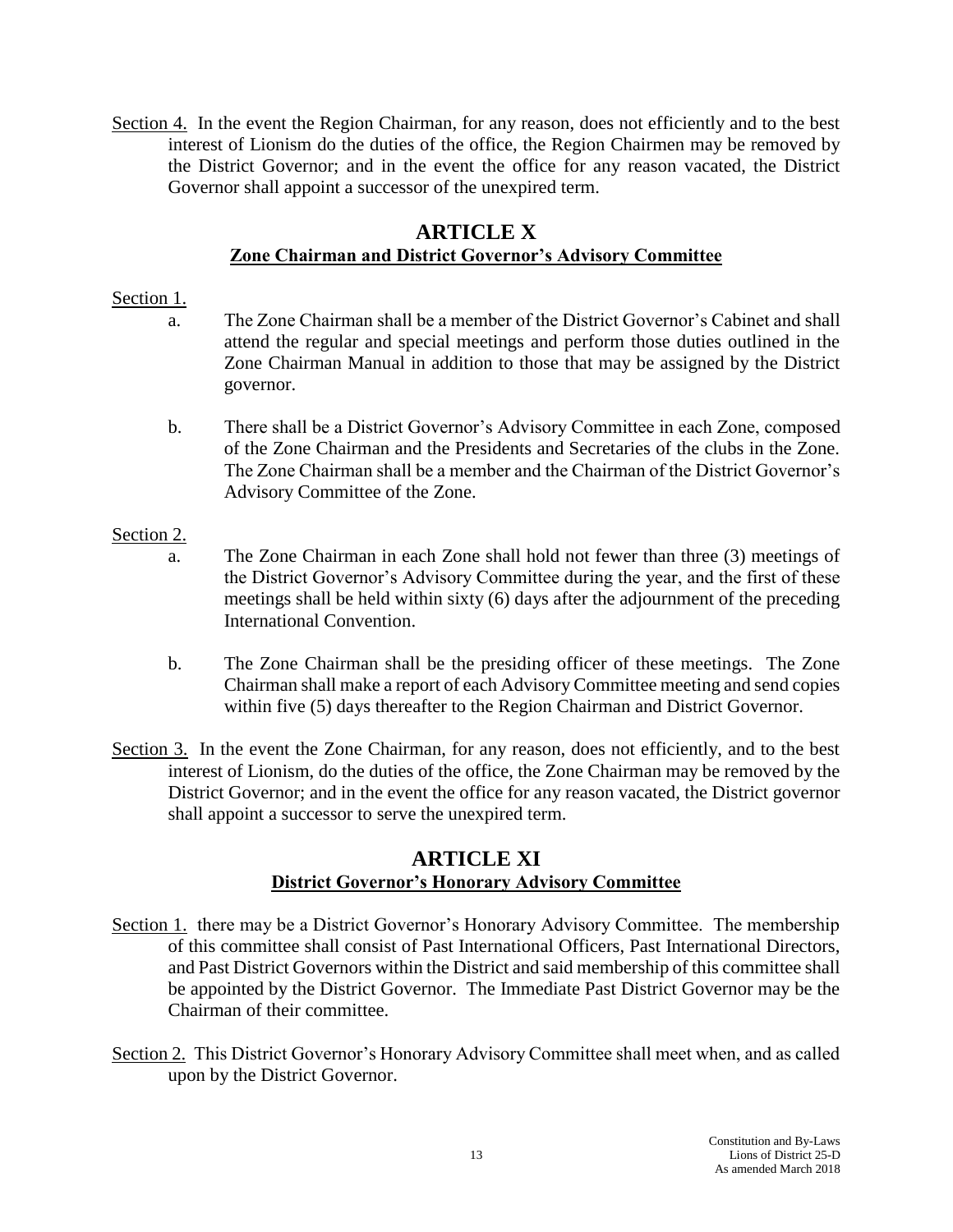Section 4. In the event the Region Chairman, for any reason, does not efficiently and to the best interest of Lionism do the duties of the office, the Region Chairmen may be removed by the District Governor; and in the event the office for any reason vacated, the District Governor shall appoint a successor of the unexpired term.

#### **ARTICLE X Zone Chairman and District Governor's Advisory Committee**

#### Section 1.

- a. The Zone Chairman shall be a member of the District Governor's Cabinet and shall attend the regular and special meetings and perform those duties outlined in the Zone Chairman Manual in addition to those that may be assigned by the District governor.
- b. There shall be a District Governor's Advisory Committee in each Zone, composed of the Zone Chairman and the Presidents and Secretaries of the clubs in the Zone. The Zone Chairman shall be a member and the Chairman of the District Governor's Advisory Committee of the Zone.

#### Section 2.

- a. The Zone Chairman in each Zone shall hold not fewer than three (3) meetings of the District Governor's Advisory Committee during the year, and the first of these meetings shall be held within sixty (6) days after the adjournment of the preceding International Convention.
- b. The Zone Chairman shall be the presiding officer of these meetings. The Zone Chairman shall make a report of each Advisory Committee meeting and send copies within five (5) days thereafter to the Region Chairman and District Governor.
- Section 3. In the event the Zone Chairman, for any reason, does not efficiently, and to the best interest of Lionism, do the duties of the office, the Zone Chairman may be removed by the District Governor; and in the event the office for any reason vacated, the District governor shall appoint a successor to serve the unexpired term.

### **ARTICLE XI District Governor's Honorary Advisory Committee**

- Section 1. there may be a District Governor's Honorary Advisory Committee. The membership of this committee shall consist of Past International Officers, Past International Directors, and Past District Governors within the District and said membership of this committee shall be appointed by the District Governor. The Immediate Past District Governor may be the Chairman of their committee.
- Section 2. This District Governor's Honorary Advisory Committee shall meet when, and as called upon by the District Governor.